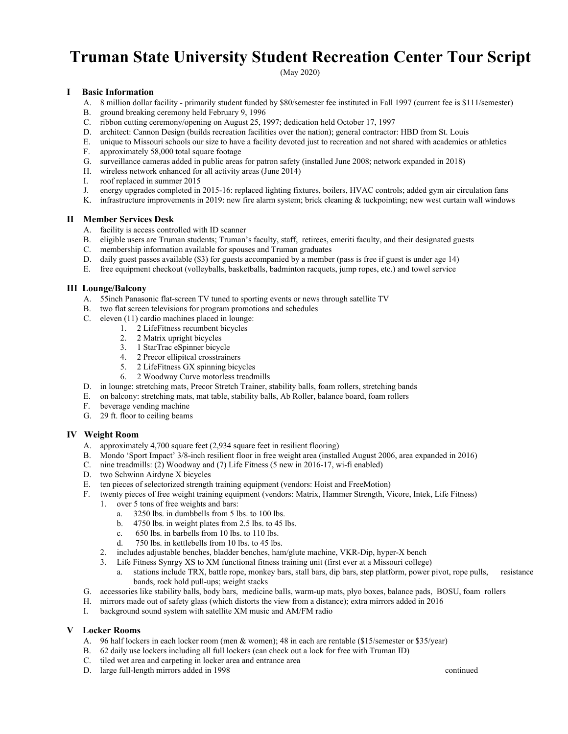# **Truman State University Student Recreation Center Tour Script**

(May 2020)

## **I Basic Information**

- A. 8 million dollar facility primarily student funded by \$80/semester fee instituted in Fall 1997 (current fee is \$111/semester)
- B. ground breaking ceremony held February 9, 1996
- C. ribbon cutting ceremony/opening on August 25, 1997; dedication held October 17, 1997
- D. architect: Cannon Design (builds recreation facilities over the nation); general contractor: HBD from St. Louis
- E. unique to Missouri schools our size to have a facility devoted just to recreation and not shared with academics or athletics
- F. approximately 58,000 total square footage
- G. surveillance cameras added in public areas for patron safety (installed June 2008; network expanded in 2018)
- H. wireless network enhanced for all activity areas (June 2014)
- I. roof replaced in summer 2015
- J. energy upgrades completed in 2015-16: replaced lighting fixtures, boilers, HVAC controls; added gym air circulation fans
- K. infrastructure improvements in 2019: new fire alarm system; brick cleaning & tuckpointing; new west curtain wall windows

## **II Member Services Desk**

- A. facility is access controlled with ID scanner
- B. eligible users are Truman students; Truman's faculty, staff, retirees, emeriti faculty, and their designated guests
- C. membership information available for spouses and Truman graduates
- D. daily guest passes available (\$3) for guests accompanied by a member (pass is free if guest is under age 14)
- E. free equipment checkout (volleyballs, basketballs, badminton racquets, jump ropes, etc.) and towel service

## **III Lounge/Balcony**

- A. 55inch Panasonic flat-screen TV tuned to sporting events or news through satellite TV
- B. two flat screen televisions for program promotions and schedules
- C. eleven (11) cardio machines placed in lounge:
	- 1. 2 LifeFitness recumbent bicycles
		- 2. 2 Matrix upright bicycles
		- 3. 1 StarTrac eSpinner bicycle
		- 4. 2 Precor ellipitcal crosstrainers
		- 5. 2 LifeFitness GX spinning bicycles
		- 6. 2 Woodway Curve motorless treadmills
- D. in lounge: stretching mats, Precor Stretch Trainer, stability balls, foam rollers, stretching bands
- E. on balcony: stretching mats, mat table, stability balls, Ab Roller, balance board, foam rollers
- F. beverage vending machine
- G. 29 ft. floor to ceiling beams

## **IV Weight Room**

- A. approximately 4,700 square feet (2,934 square feet in resilient flooring)
- B. Mondo 'Sport Impact' 3/8-inch resilient floor in free weight area (installed August 2006, area expanded in 2016)
- C. nine treadmills: (2) Woodway and (7) Life Fitness (5 new in 2016-17, wi-fi enabled)
- D. two Schwinn Airdyne X bicycles
- E. ten pieces of selectorized strength training equipment (vendors: Hoist and FreeMotion)
- F. twenty pieces of free weight training equipment (vendors: Matrix, Hammer Strength, Vicore, Intek, Life Fitness)
	- 1. over 5 tons of free weights and bars:
		- a. 3250 lbs. in dumbbells from 5 lbs. to 100 lbs.
		- b. 4750 lbs. in weight plates from 2.5 lbs. to 45 lbs.
		- c. 650 lbs. in barbells from 10 lbs. to 110 lbs.
		- d. 750 lbs. in kettlebells from 10 lbs. to 45 lbs.
	- 2. includes adjustable benches, bladder benches, ham/glute machine, VKR-Dip, hyper-X bench
	- 3. Life Fitness Synrgy XS to XM functional fitness training unit (first ever at a Missouri college)
		- a. stations include TRX, battle rope, monkey bars, stall bars, dip bars, step platform, power pivot, rope pulls, resistance bands, rock hold pull-ups; weight stacks
- G. accessories like stability balls, body bars, medicine balls, warm-up mats, plyo boxes, balance pads, BOSU, foam rollers
- H. mirrors made out of safety glass (which distorts the view from a distance); extra mirrors added in 2016
- I. background sound system with satellite XM music and AM/FM radio

## **V Locker Rooms**

- A. 96 half lockers in each locker room (men & women); 48 in each are rentable (\$15/semester or \$35/year)
- B. 62 daily use lockers including all full lockers (can check out a lock for free with Truman ID)
- C. tiled wet area and carpeting in locker area and entrance area
- D. large full-length mirrors added in 1998